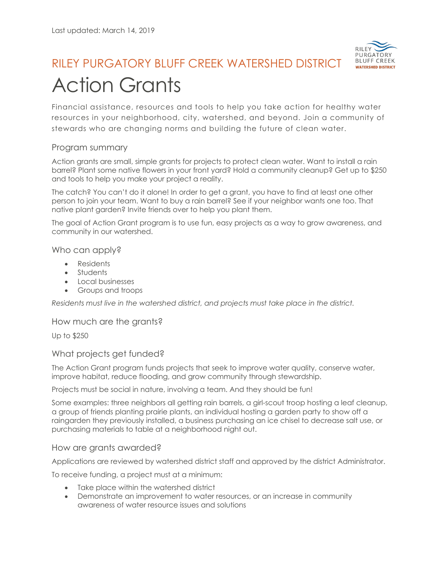

# RILEY PURGATORY BLUFF CREEK WATERSHED DISTRICT Action Grants

Financial assistance, resources and tools to help you take action for healthy water resources in your neighborhood, city, watershed, and beyond. Join a community of stewards who are changing norms and building the future of clean water.

## Program summary

Action grants are small, simple grants for projects to protect clean water. Want to install a rain barrel? Plant some native flowers in your front yard? Hold a community cleanup? Get up to \$250 and tools to help you make your project a reality.

The catch? You can't do it alone! In order to get a grant, you have to find at least one other person to join your team. Want to buy a rain barrel? See if your neighbor wants one too. That native plant garden? Invite friends over to help you plant them.

The goal of Action Grant program is to use fun, easy projects as a way to grow awareness, and community in our watershed.

### Who can apply?

- Residents
- Students
- Local businesses
- Groups and troops

*Residents must live in the watershed district, and projects must take place in the district.*

### How much are the grants?

Up to \$250

### What projects get funded?

The Action Grant program funds projects that seek to improve water quality, conserve water, improve habitat, reduce flooding, and grow community through stewardship.

Projects must be social in nature, involving a team. And they should be fun!

Some examples: three neighbors all getting rain barrels, a girl-scout troop hosting a leaf cleanup, a group of friends planting prairie plants, an individual hosting a garden party to show off a raingarden they previously installed, a business purchasing an ice chisel to decrease salt use, or purchasing materials to table at a neighborhood night out.

### How are grants awarded?

Applications are reviewed by watershed district staff and approved by the district Administrator.

To receive funding, a project must at a minimum:

- Take place within the watershed district
- Demonstrate an improvement to water resources, or an increase in community awareness of water resource issues and solutions